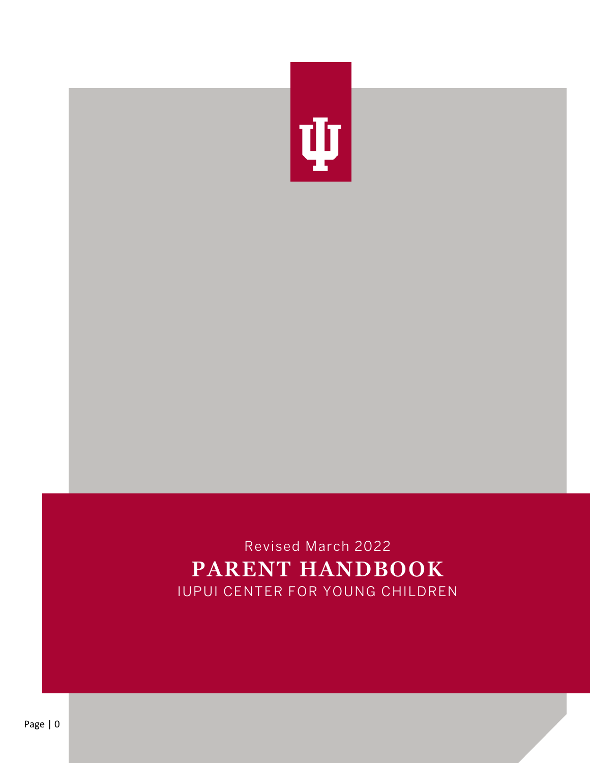

# Revised March 2022 **PARENT HANDBOOK** IUPUI CENTER FOR YOUNG CHILDREN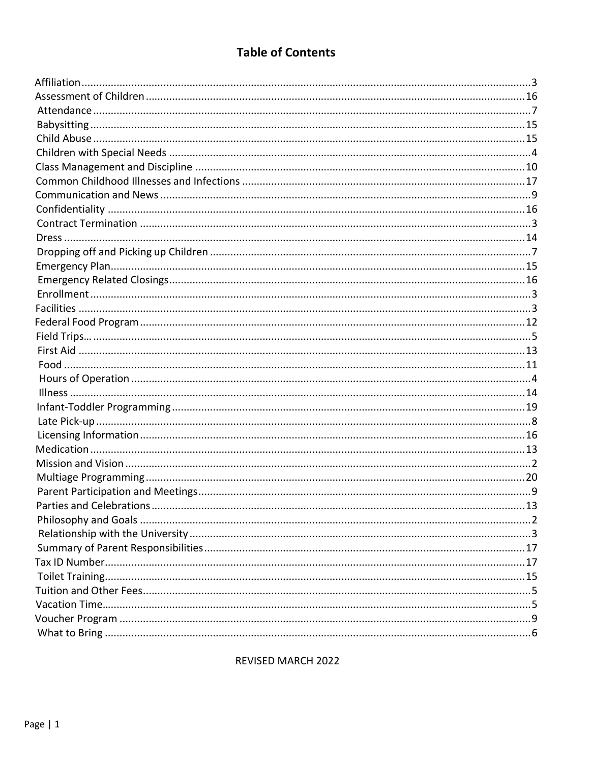# **Table of Contents**

REVISED MARCH 2022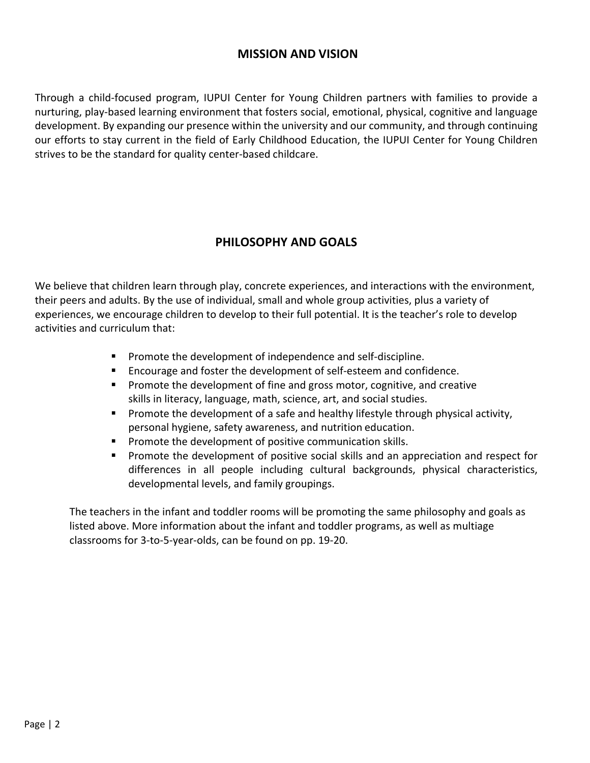## **MISSION AND VISION**

Through a child-focused program, IUPUI Center for Young Children partners with families to provide a nurturing, play-based learning environment that fosters social, emotional, physical, cognitive and language development. By expanding our presence within the university and our community, and through continuing our efforts to stay current in the field of Early Childhood Education, the IUPUI Center for Young Children strives to be the standard for quality center-based childcare.

# **PHILOSOPHY AND GOALS**

We believe that children learn through play, concrete experiences, and interactions with the environment, their peers and adults. By the use of individual, small and whole group activities, plus a variety of experiences, we encourage children to develop to their full potential. It is the teacher's role to develop activities and curriculum that:

- Promote the development of independence and self-discipline.
- Encourage and foster the development of self-esteem and confidence.
- Promote the development of fine and gross motor, cognitive, and creative skills in literacy, language, math, science, art, and social studies.
- Promote the development of a safe and healthy lifestyle through physical activity, personal hygiene, safety awareness, and nutrition education.
- Promote the development of positive communication skills.
- Promote the development of positive social skills and an appreciation and respect for differences in all people including cultural backgrounds, physical characteristics, developmental levels, and family groupings.

The teachers in the infant and toddler rooms will be promoting the same philosophy and goals as listed above. More information about the infant and toddler programs, as well as multiage classrooms for 3-to-5-year-olds, can be found on pp. 19-20.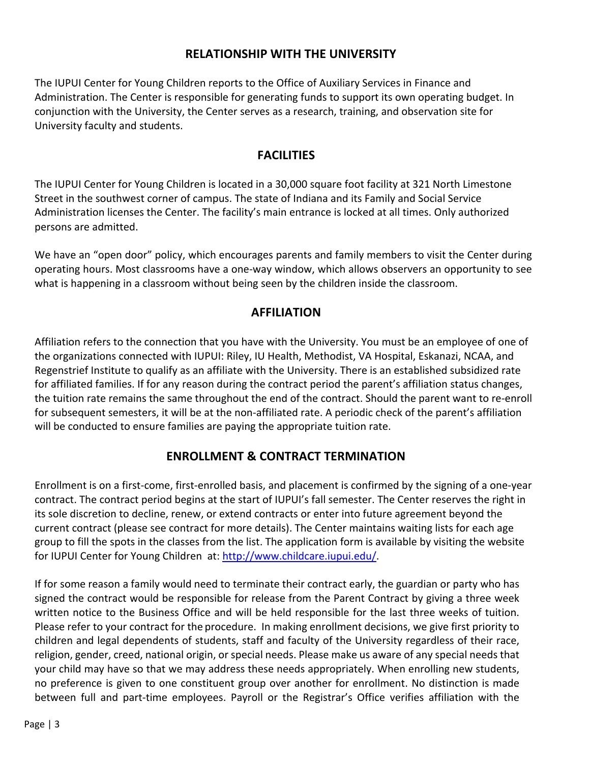## **RELATIONSHIP WITH THE UNIVERSITY**

The IUPUI Center for Young Children reports to the Office of Auxiliary Services in Finance and Administration. The Center is responsible for generating funds to support its own operating budget. In conjunction with the University, the Center serves as a research, training, and observation site for University faculty and students.

## **FACILITIES**

The IUPUI Center for Young Children is located in a 30,000 square foot facility at 321 North Limestone Street in the southwest corner of campus. The state of Indiana and its Family and Social Service Administration licenses the Center. The facility's main entrance is locked at all times. Only authorized persons are admitted.

We have an "open door" policy, which encourages parents and family members to visit the Center during operating hours. Most classrooms have a one-way window, which allows observers an opportunity to see what is happening in a classroom without being seen by the children inside the classroom.

## **AFFILIATION**

Affiliation refers to the connection that you have with the University. You must be an employee of one of the organizations connected with IUPUI: Riley, IU Health, Methodist, VA Hospital, Eskanazi, NCAA, and Regenstrief Institute to qualify as an affiliate with the University. There is an established subsidized rate for affiliated families. If for any reason during the contract period the parent's affiliation status changes, the tuition rate remains the same throughout the end of the contract. Should the parent want to re-enroll for subsequent semesters, it will be at the non-affiliated rate. A periodic check of the parent's affiliation will be conducted to ensure families are paying the appropriate tuition rate.

## **ENROLLMENT & CONTRACT TERMINATION**

Enrollment is on a first-come, first-enrolled basis, and placement is confirmed by the signing of a one-year contract. The contract period begins at the start of IUPUI's fall semester. The Center reserves the right in its sole discretion to decline, renew, or extend contracts or enter into future agreement beyond the current contract (please see contract for more details). The Center maintains waiting lists for each age group to fill the spots in the classes from the list. The application form is available by visiting the website for IUPUI Center for Young Children at: http://www.childcare.iupui.edu/.

If for some reason a family would need to terminate their contract early, the guardian or party who has signed the contract would be responsible for release from the Parent Contract by giving a three week written notice to the Business Office and will be held responsible for the last three weeks of tuition. Please refer to your contract for the procedure. In making enrollment decisions, we give first priority to children and legal dependents of students, staff and faculty of the University regardless of their race, religion, gender, creed, national origin, or special needs. Please make us aware of any special needs that your child may have so that we may address these needs appropriately. When enrolling new students, no preference is given to one constituent group over another for enrollment. No distinction is made between full and part-time employees. Payroll or the Registrar's Office verifies affiliation with the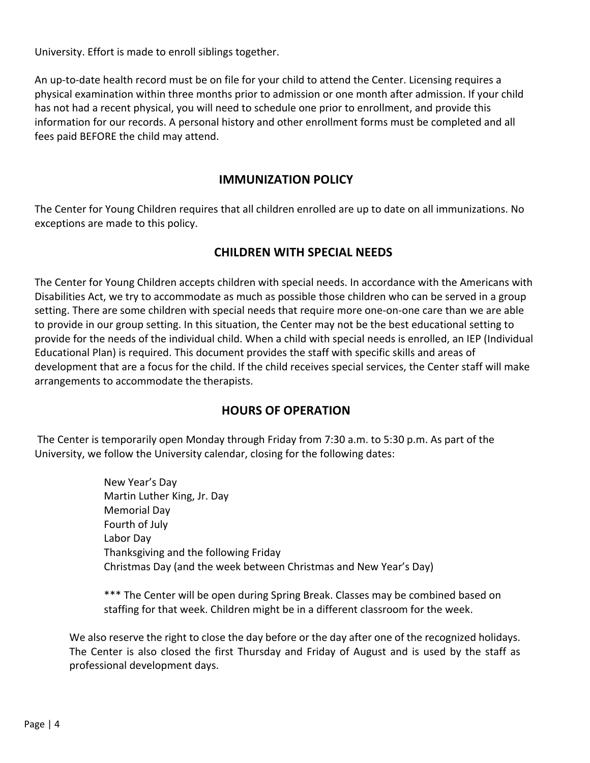University. Effort is made to enroll siblings together.

An up-to-date health record must be on file for your child to attend the Center. Licensing requires a physical examination within three months prior to admission or one month after admission. If your child has not had a recent physical, you will need to schedule one prior to enrollment, and provide this information for our records. A personal history and other enrollment forms must be completed and all fees paid BEFORE the child may attend.

## **IMMUNIZATION POLICY**

The Center for Young Children requires that all children enrolled are up to date on all immunizations. No exceptions are made to this policy.

## **CHILDREN WITH SPECIAL NEEDS**

The Center for Young Children accepts children with special needs. In accordance with the Americans with Disabilities Act, we try to accommodate as much as possible those children who can be served in a group setting. There are some children with special needs that require more one-on-one care than we are able to provide in our group setting. In this situation, the Center may not be the best educational setting to provide for the needs of the individual child. When a child with special needs is enrolled, an IEP (Individual Educational Plan) is required. This document provides the staff with specific skills and areas of development that are a focus for the child. If the child receives special services, the Center staff will make arrangements to accommodate the therapists.

# **HOURS OF OPERATION**

The Center is temporarily open Monday through Friday from 7:30 a.m. to 5:30 p.m. As part of the University, we follow the University calendar, closing for the following dates:

> New Year's Day Martin Luther King, Jr. Day Memorial Day Fourth of July Labor Day Thanksgiving and the following Friday Christmas Day (and the week between Christmas and New Year's Day)

\*\*\* The Center will be open during Spring Break. Classes may be combined based on staffing for that week. Children might be in a different classroom for the week.

We also reserve the right to close the day before or the day after one of the recognized holidays. The Center is also closed the first Thursday and Friday of August and is used by the staff as professional development days.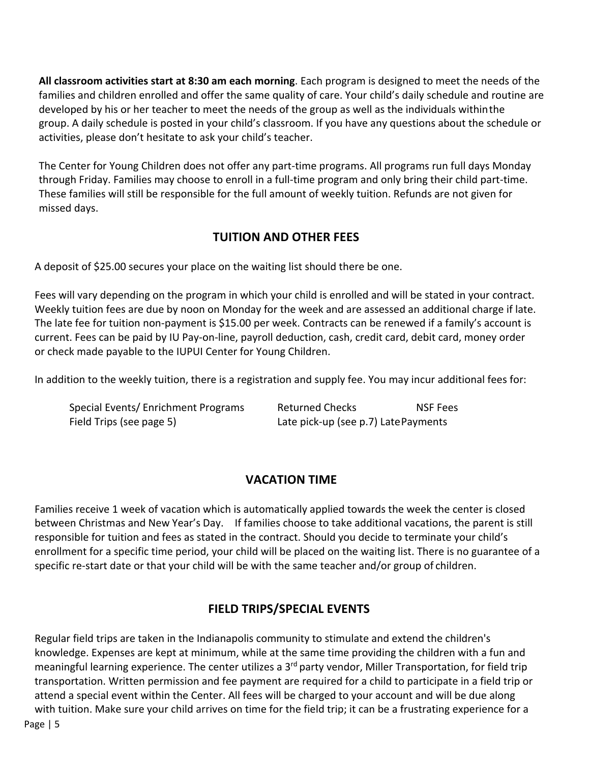**All classroom activities start at 8:30 am each morning**. Each program is designed to meet the needs of the families and children enrolled and offer the same quality of care. Your child's daily schedule and routine are developed by his or her teacher to meet the needs of the group as well as the individuals withinthe group. A daily schedule is posted in your child's classroom. If you have any questions about the schedule or activities, please don't hesitate to ask your child's teacher.

The Center for Young Children does not offer any part-time programs. All programs run full days Monday through Friday. Families may choose to enroll in a full-time program and only bring their child part-time. These families will still be responsible for the full amount of weekly tuition. Refunds are not given for missed days.

# **TUITION AND OTHER FEES**

A deposit of \$25.00 secures your place on the waiting list should there be one.

Fees will vary depending on the program in which your child is enrolled and will be stated in your contract. Weekly tuition fees are due by noon on Monday for the week and are assessed an additional charge if late. The late fee for tuition non-payment is \$15.00 per week. Contracts can be renewed if a family's account is current. Fees can be paid by IU Pay-on-line, payroll deduction, cash, credit card, debit card, money order or check made payable to the IUPUI Center for Young Children.

In addition to the weekly tuition, there is a registration and supply fee. You may incur additional fees for:

| Special Events/ Enrichment Programs | <b>Returned Checks</b>               | NSF Fees |
|-------------------------------------|--------------------------------------|----------|
| Field Trips (see page 5)            | Late pick-up (see p.7) Late Payments |          |

## **VACATION TIME**

Families receive 1 week of vacation which is automatically applied towards the week the center is closed between Christmas and New Year's Day. If families choose to take additional vacations, the parent is still responsible for tuition and fees as stated in the contract. Should you decide to terminate your child's enrollment for a specific time period, your child will be placed on the waiting list. There is no guarantee of a specific re-start date or that your child will be with the same teacher and/or group of children.

# **FIELD TRIPS/SPECIAL EVENTS**

Regular field trips are taken in the Indianapolis community to stimulate and extend the children's knowledge. Expenses are kept at minimum, while at the same time providing the children with a fun and meaningful learning experience. The center utilizes a 3<sup>rd</sup> party vendor, Miller Transportation, for field trip transportation. Written permission and fee payment are required for a child to participate in a field trip or attend a special event within the Center. All fees will be charged to your account and will be due along with tuition. Make sure your child arrives on time for the field trip; it can be a frustrating experience for a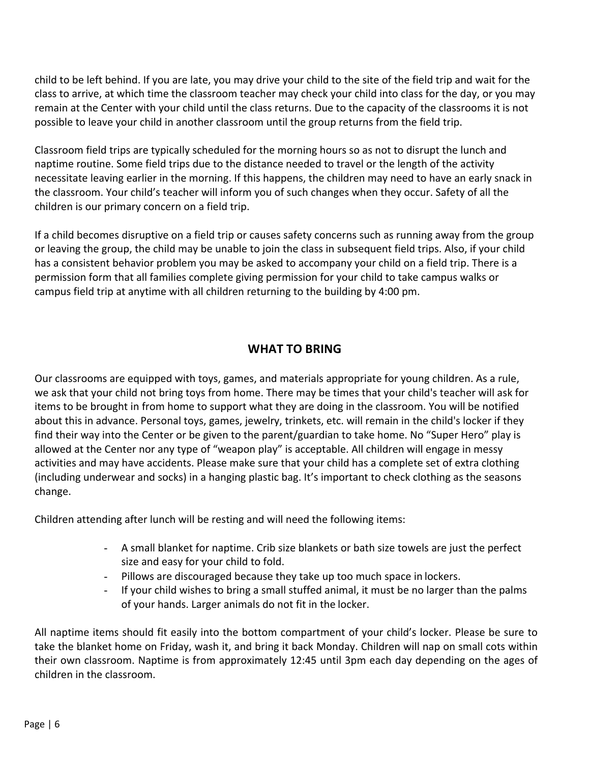child to be left behind. If you are late, you may drive your child to the site of the field trip and wait for the class to arrive, at which time the classroom teacher may check your child into class for the day, or you may remain at the Center with your child until the class returns. Due to the capacity of the classrooms it is not possible to leave your child in another classroom until the group returns from the field trip.

Classroom field trips are typically scheduled for the morning hours so as not to disrupt the lunch and naptime routine. Some field trips due to the distance needed to travel or the length of the activity necessitate leaving earlier in the morning. If this happens, the children may need to have an early snack in the classroom. Your child's teacher will inform you of such changes when they occur. Safety of all the children is our primary concern on a field trip.

If a child becomes disruptive on a field trip or causes safety concerns such as running away from the group or leaving the group, the child may be unable to join the class in subsequent field trips. Also, if your child has a consistent behavior problem you may be asked to accompany your child on a field trip. There is a permission form that all families complete giving permission for your child to take campus walks or campus field trip at anytime with all children returning to the building by 4:00 pm.

## **WHAT TO BRING**

Our classrooms are equipped with toys, games, and materials appropriate for young children. As a rule, we ask that your child not bring toys from home. There may be times that your child's teacher will ask for items to be brought in from home to support what they are doing in the classroom. You will be notified about this in advance. Personal toys, games, jewelry, trinkets, etc. will remain in the child's locker if they find their way into the Center or be given to the parent/guardian to take home. No "Super Hero" play is allowed at the Center nor any type of "weapon play" is acceptable. All children will engage in messy activities and may have accidents. Please make sure that your child has a complete set of extra clothing (including underwear and socks) in a hanging plastic bag. It's important to check clothing as the seasons change.

Children attending after lunch will be resting and will need the following items:

- A small blanket for naptime. Crib size blankets or bath size towels are just the perfect size and easy for your child to fold.
- Pillows are discouraged because they take up too much space in lockers.
- If your child wishes to bring a small stuffed animal, it must be no larger than the palms of your hands. Larger animals do not fit in the locker.

All naptime items should fit easily into the bottom compartment of your child's locker. Please be sure to take the blanket home on Friday, wash it, and bring it back Monday. Children will nap on small cots within their own classroom. Naptime is from approximately 12:45 until 3pm each day depending on the ages of children in the classroom.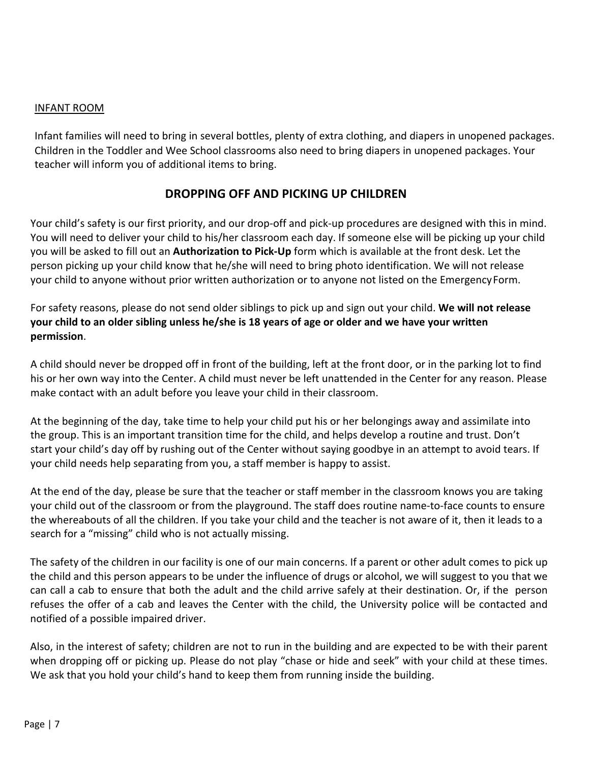#### INFANT ROOM

Infant families will need to bring in several bottles, plenty of extra clothing, and diapers in unopened packages. Children in the Toddler and Wee School classrooms also need to bring diapers in unopened packages. Your teacher will inform you of additional items to bring.

## **DROPPING OFF AND PICKING UP CHILDREN**

Your child's safety is our first priority, and our drop-off and pick-up procedures are designed with this in mind. You will need to deliver your child to his/her classroom each day. If someone else will be picking up your child you will be asked to fill out an **Authorization to Pick-Up** form which is available at the front desk. Let the person picking up your child know that he/she will need to bring photo identification. We will not release your child to anyone without prior written authorization or to anyone not listed on the Emergency Form.

For safety reasons, please do not send older siblings to pick up and sign out your child. **We will not release your child to an older sibling unless he/she is 18 years of age or older and we have your written permission**.

A child should never be dropped off in front of the building, left at the front door, or in the parking lot to find his or her own way into the Center. A child must never be left unattended in the Center for any reason. Please make contact with an adult before you leave your child in their classroom.

At the beginning of the day, take time to help your child put his or her belongings away and assimilate into the group. This is an important transition time for the child, and helps develop a routine and trust. Don't start your child's day off by rushing out of the Center without saying goodbye in an attempt to avoid tears. If your child needs help separating from you, a staff member is happy to assist.

At the end of the day, please be sure that the teacher or staff member in the classroom knows you are taking your child out of the classroom or from the playground. The staff does routine name-to-face counts to ensure the whereabouts of all the children. If you take your child and the teacher is not aware of it, then it leads to a search for a "missing" child who is not actually missing.

The safety of the children in our facility is one of our main concerns. If a parent or other adult comes to pick up the child and this person appears to be under the influence of drugs or alcohol, we will suggest to you that we can call a cab to ensure that both the adult and the child arrive safely at their destination. Or, if the person refuses the offer of a cab and leaves the Center with the child, the University police will be contacted and notified of a possible impaired driver.

Also, in the interest of safety; children are not to run in the building and are expected to be with their parent when dropping off or picking up. Please do not play "chase or hide and seek" with your child at these times. We ask that you hold your child's hand to keep them from running inside the building.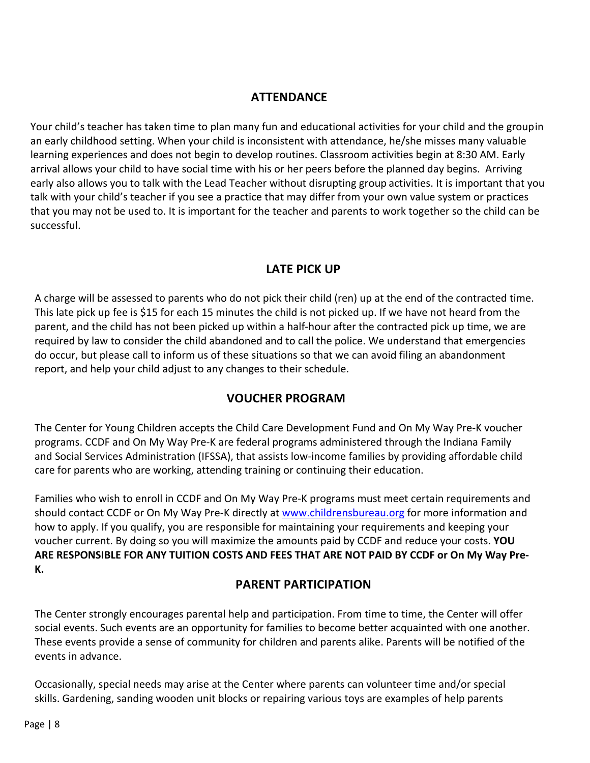## **ATTENDANCE**

Your child's teacher has taken time to plan many fun and educational activities for your child and the groupin an early childhood setting. When your child is inconsistent with attendance, he/she misses many valuable learning experiences and does not begin to develop routines. Classroom activities begin at 8:30 AM. Early arrival allows your child to have social time with his or her peers before the planned day begins. Arriving early also allows you to talk with the Lead Teacher without disrupting group activities. It is important that you talk with your child's teacher if you see a practice that may differ from your own value system or practices that you may not be used to. It is important for the teacher and parents to work together so the child can be successful.

# **LATE PICK UP**

A charge will be assessed to parents who do not pick their child (ren) up at the end of the contracted time. This late pick up fee is \$15 for each 15 minutes the child is not picked up. If we have not heard from the parent, and the child has not been picked up within a half-hour after the contracted pick up time, we are required by law to consider the child abandoned and to call the police. We understand that emergencies do occur, but please call to inform us of these situations so that we can avoid filing an abandonment report, and help your child adjust to any changes to their schedule.

# **VOUCHER PROGRAM**

The Center for Young Children accepts the Child Care Development Fund and On My Way Pre-K voucher programs. CCDF and On My Way Pre-K are federal programs administered through the Indiana Family and Social Services Administration (IFSSA), that assists low-income families by providing affordable child care for parents who are working, attending training or continuing their education.

Families who wish to enroll in CCDF and On My Way Pre-K programs must meet certain requirements and should contact CCDF or On My Way Pre-K directly at www.childrensbureau.org for more information and how to apply. If you qualify, you are responsible for maintaining your requirements and keeping your voucher current. By doing so you will maximize the amounts paid by CCDF and reduce your costs. **YOU ARE RESPONSIBLE FOR ANY TUITION COSTS AND FEES THAT ARE NOT PAID BY CCDF or On My Way Pre-K.**

# **PARENT PARTICIPATION**

The Center strongly encourages parental help and participation. From time to time, the Center will offer social events. Such events are an opportunity for families to become better acquainted with one another. These events provide a sense of community for children and parents alike. Parents will be notified of the events in advance.

Occasionally, special needs may arise at the Center where parents can volunteer time and/or special skills. Gardening, sanding wooden unit blocks or repairing various toys are examples of help parents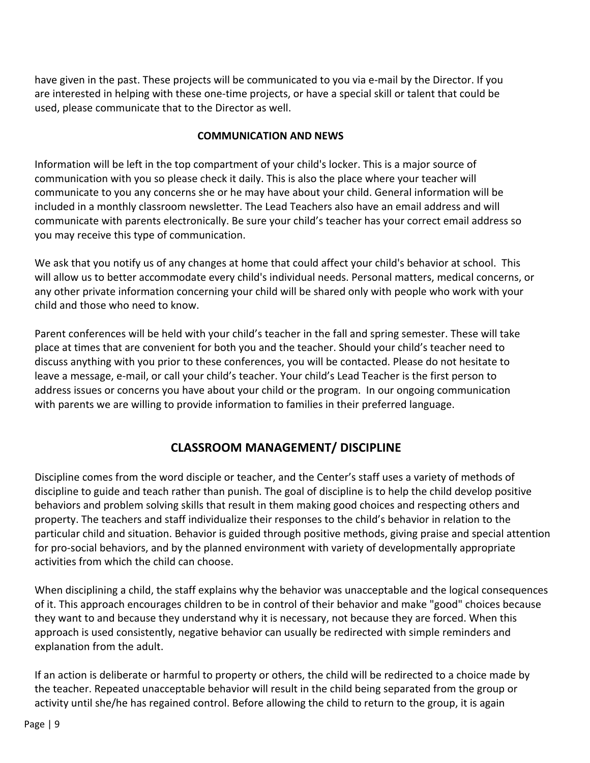have given in the past. These projects will be communicated to you via e-mail by the Director. If you are interested in helping with these one-time projects, or have a special skill or talent that could be used, please communicate that to the Director as well.

#### **COMMUNICATION AND NEWS**

Information will be left in the top compartment of your child's locker. This is a major source of communication with you so please check it daily. This is also the place where your teacher will communicate to you any concerns she or he may have about your child. General information will be included in a monthly classroom newsletter. The Lead Teachers also have an email address and will communicate with parents electronically. Be sure your child's teacher has your correct email address so you may receive this type of communication.

We ask that you notify us of any changes at home that could affect your child's behavior at school. This will allow us to better accommodate every child's individual needs. Personal matters, medical concerns, or any other private information concerning your child will be shared only with people who work with your child and those who need to know.

Parent conferences will be held with your child's teacher in the fall and spring semester. These will take place at times that are convenient for both you and the teacher. Should your child's teacher need to discuss anything with you prior to these conferences, you will be contacted. Please do not hesitate to leave a message, e-mail, or call your child's teacher. Your child's Lead Teacher is the first person to address issues or concerns you have about your child or the program. In our ongoing communication with parents we are willing to provide information to families in their preferred language.

## **CLASSROOM MANAGEMENT/ DISCIPLINE**

Discipline comes from the word disciple or teacher, and the Center's staff uses a variety of methods of discipline to guide and teach rather than punish. The goal of discipline is to help the child develop positive behaviors and problem solving skills that result in them making good choices and respecting others and property. The teachers and staff individualize their responses to the child's behavior in relation to the particular child and situation. Behavior is guided through positive methods, giving praise and special attention for pro-social behaviors, and by the planned environment with variety of developmentally appropriate activities from which the child can choose.

When disciplining a child, the staff explains why the behavior was unacceptable and the logical consequences of it. This approach encourages children to be in control of their behavior and make "good" choices because they want to and because they understand why it is necessary, not because they are forced. When this approach is used consistently, negative behavior can usually be redirected with simple reminders and explanation from the adult.

If an action is deliberate or harmful to property or others, the child will be redirected to a choice made by the teacher. Repeated unacceptable behavior will result in the child being separated from the group or activity until she/he has regained control. Before allowing the child to return to the group, it is again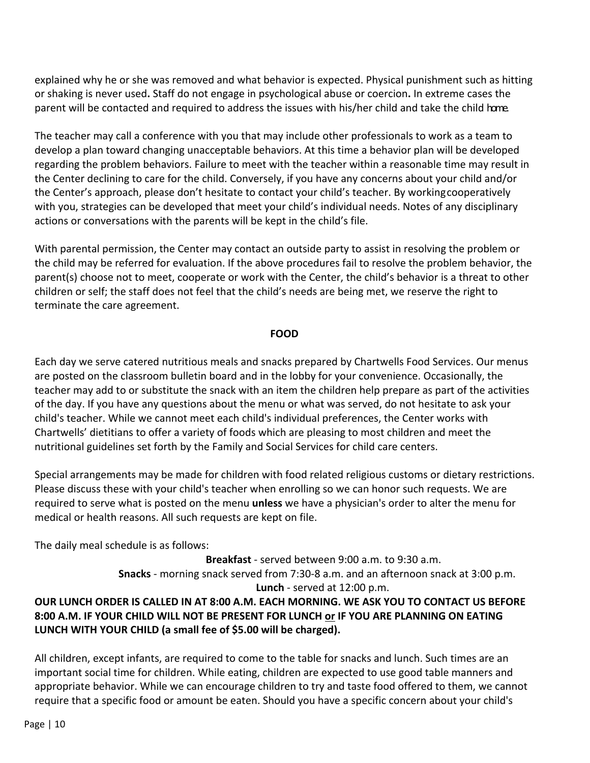explained why he or she was removed and what behavior is expected. Physical punishment such as hitting or shaking is never used**.** Staff do not engage in psychological abuse or coercion**.** In extreme cases the parent will be contacted and required to address the issues with his/her child and take the child home.

The teacher may call a conference with you that may include other professionals to work as a team to develop a plan toward changing unacceptable behaviors. At this time a behavior plan will be developed regarding the problem behaviors. Failure to meet with the teacher within a reasonable time may result in the Center declining to care for the child. Conversely, if you have any concerns about your child and/or the Center's approach, please don't hesitate to contact your child's teacher. By workingcooperatively with you, strategies can be developed that meet your child's individual needs. Notes of any disciplinary actions or conversations with the parents will be kept in the child's file.

With parental permission, the Center may contact an outside party to assist in resolving the problem or the child may be referred for evaluation. If the above procedures fail to resolve the problem behavior, the parent(s) choose not to meet, cooperate or work with the Center, the child's behavior is a threat to other children or self; the staff does not feel that the child's needs are being met, we reserve the right to terminate the care agreement.

#### **FOOD**

Each day we serve catered nutritious meals and snacks prepared by Chartwells Food Services. Our menus are posted on the classroom bulletin board and in the lobby for your convenience. Occasionally, the teacher may add to or substitute the snack with an item the children help prepare as part of the activities of the day. If you have any questions about the menu or what was served, do not hesitate to ask your child's teacher. While we cannot meet each child's individual preferences, the Center works with Chartwells' dietitians to offer a variety of foods which are pleasing to most children and meet the nutritional guidelines set forth by the Family and Social Services for child care centers.

Special arrangements may be made for children with food related religious customs or dietary restrictions. Please discuss these with your child's teacher when enrolling so we can honor such requests. We are required to serve what is posted on the menu **unless** we have a physician's order to alter the menu for medical or health reasons. All such requests are kept on file.

The daily meal schedule is as follows:

**Breakfast** - served between 9:00 a.m. to 9:30 a.m. **Snacks** - morning snack served from 7:30-8 a.m. and an afternoon snack at 3:00 p.m. **Lunch** - served at 12:00 p.m. **OUR LUNCH ORDER IS CALLED IN AT 8:00 A.M. EACH MORNING. WE ASK YOU TO CONTACT US BEFORE 8:00 A.M. IF YOUR CHILD WILL NOT BE PRESENT FOR LUNCH or IF YOU ARE PLANNING ON EATING LUNCH WITH YOUR CHILD (a small fee of \$5.00 will be charged).**

All children, except infants, are required to come to the table for snacks and lunch. Such times are an important social time for children. While eating, children are expected to use good table manners and appropriate behavior. While we can encourage children to try and taste food offered to them, we cannot require that a specific food or amount be eaten. Should you have a specific concern about your child's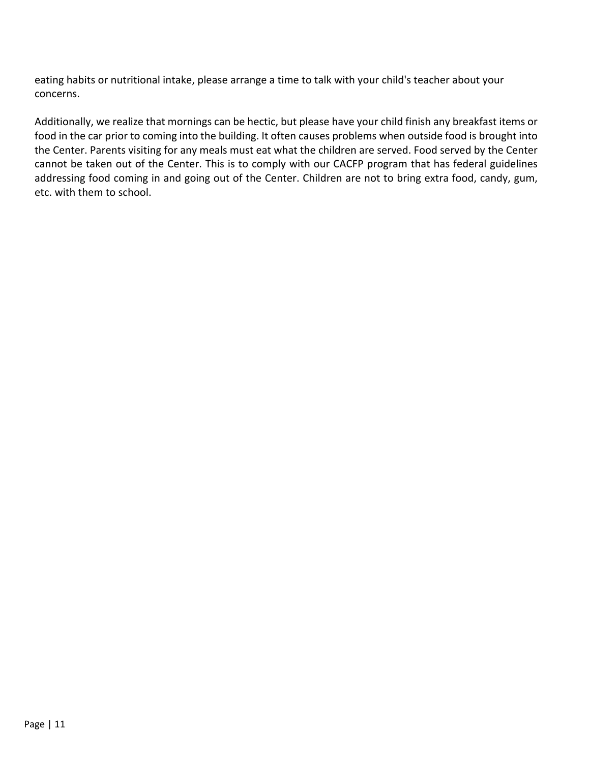eating habits or nutritional intake, please arrange a time to talk with your child's teacher about your concerns.

Additionally, we realize that mornings can be hectic, but please have your child finish any breakfast items or food in the car prior to coming into the building. It often causes problems when outside food is brought into the Center. Parents visiting for any meals must eat what the children are served. Food served by the Center cannot be taken out of the Center. This is to comply with our CACFP program that has federal guidelines addressing food coming in and going out of the Center. Children are not to bring extra food, candy, gum, etc. with them to school.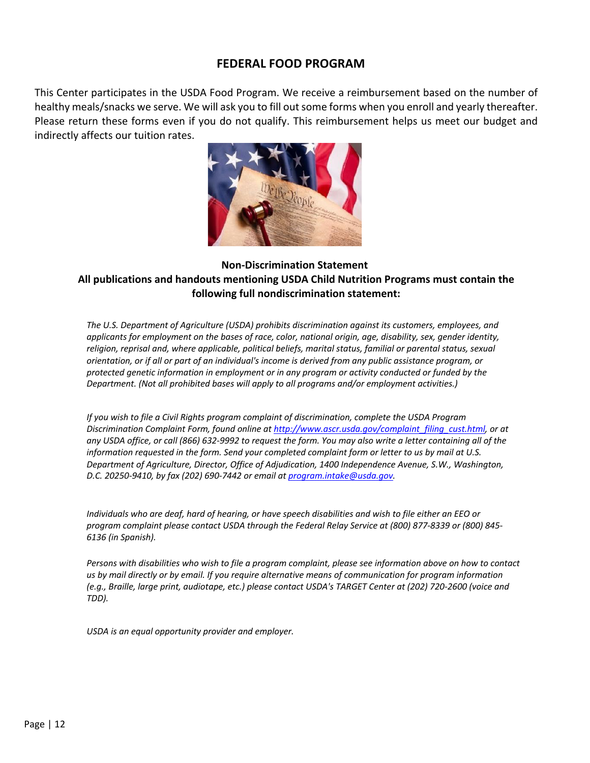#### **FEDERAL FOOD PROGRAM**

This Center participates in the USDA Food Program. We receive a reimbursement based on the number of healthy meals/snacks we serve. We will ask you to fill out some forms when you enroll and yearly thereafter. Please return these forms even if you do not qualify. This reimbursement helps us meet our budget and indirectly affects our tuition rates.



#### **Non-Discrimination Statement All publications and handouts mentioning USDA Child Nutrition Programs must contain the following full nondiscrimination statement:**

*The U.S. Department of Agriculture (USDA) prohibits discrimination against its customers, employees, and applicants for employment on the bases of race, color, national origin, age, disability, sex, gender identity, religion, reprisal and, where applicable, political beliefs, marital status, familial or parental status, sexual orientation, or if all or part of an individual's income is derived from any public assistance program, or protected genetic information in employment or in any program or activity conducted or funded by the Department. (Not all prohibited bases will apply to all programs and/or employment activities.)*

*If you wish to file a Civil Rights program complaint of discrimination, complete the USDA Program Discrimination Complaint Form, found online at http://www.ascr.usda.gov/complaint\_filing\_cust.html, or at any USDA office, or call (866) 632-9992 to request the form. You may also write a letter containing all of the information requested in the form. Send your completed complaint form or letter to us by mail at U.S. Department of Agriculture, Director, Office of Adjudication, 1400 Independence Avenue, S.W., Washington, D.C. 20250-9410, by fax (202) 690-7442 or email at program.intake@usda.gov.*

*Individuals who are deaf, hard of hearing, or have speech disabilities and wish to file either an EEO or program complaint please contact USDA through the Federal Relay Service at (800) 877-8339 or (800) 845- 6136 (in Spanish).*

*Persons with disabilities who wish to file a program complaint, please see information above on how to contact us by mail directly or by email. If you require alternative means of communication for program information (e.g., Braille, large print, audiotape, etc.) please contact USDA's TARGET Center at (202) 720-2600 (voice and TDD).*

*USDA is an equal opportunity provider and employer.*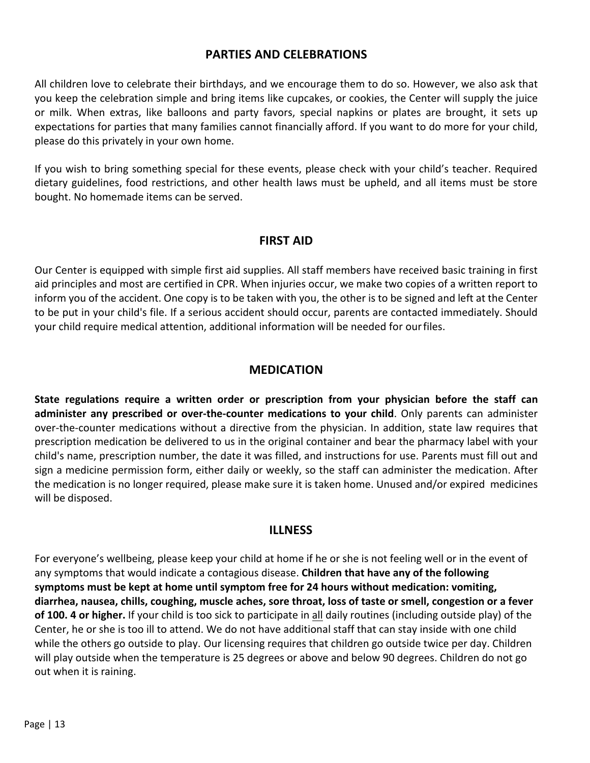#### **PARTIES AND CELEBRATIONS**

All children love to celebrate their birthdays, and we encourage them to do so. However, we also ask that you keep the celebration simple and bring items like cupcakes, or cookies, the Center will supply the juice or milk. When extras, like balloons and party favors, special napkins or plates are brought, it sets up expectations for parties that many families cannot financially afford. If you want to do more for your child, please do this privately in your own home.

If you wish to bring something special for these events, please check with your child's teacher. Required dietary guidelines, food restrictions, and other health laws must be upheld, and all items must be store bought. No homemade items can be served.

## **FIRST AID**

Our Center is equipped with simple first aid supplies. All staff members have received basic training in first aid principles and most are certified in CPR. When injuries occur, we make two copies of a written report to inform you of the accident. One copy is to be taken with you, the other is to be signed and left at the Center to be put in your child's file. If a serious accident should occur, parents are contacted immediately. Should your child require medical attention, additional information will be needed for ourfiles.

#### **MEDICATION**

**State regulations require a written order or prescription from your physician before the staff can administer any prescribed or over-the-counter medications to your child**. Only parents can administer over-the-counter medications without a directive from the physician. In addition, state law requires that prescription medication be delivered to us in the original container and bear the pharmacy label with your child's name, prescription number, the date it was filled, and instructions for use. Parents must fill out and sign a medicine permission form, either daily or weekly, so the staff can administer the medication. After the medication is no longer required, please make sure it is taken home. Unused and/or expired medicines will be disposed.

#### **ILLNESS**

For everyone's wellbeing, please keep your child at home if he or she is not feeling well or in the event of any symptoms that would indicate a contagious disease. **Children that have any of the following symptoms must be kept at home until symptom free for 24 hours without medication: vomiting, diarrhea, nausea, chills, coughing, muscle aches, sore throat, loss of taste or smell, congestion or a fever of 100. 4 or higher.** If your child is too sick to participate in all daily routines (including outside play) of the Center, he or she is too ill to attend. We do not have additional staff that can stay inside with one child while the others go outside to play. Our licensing requires that children go outside twice per day. Children will play outside when the temperature is 25 degrees or above and below 90 degrees. Children do not go out when it is raining.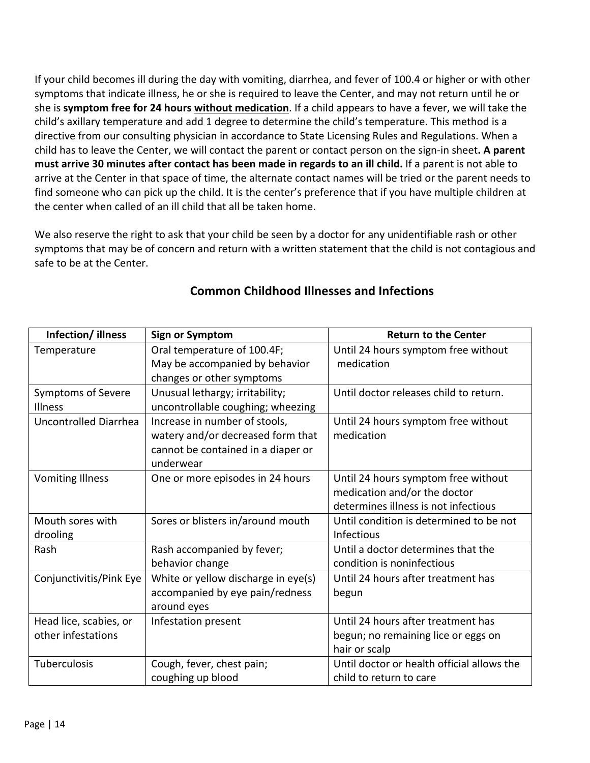If your child becomes ill during the day with vomiting, diarrhea, and fever of 100.4 or higher or with other symptoms that indicate illness, he or she is required to leave the Center, and may not return until he or she is **symptom free for 24 hours without medication**. If a child appears to have a fever, we will take the child's axillary temperature and add 1 degree to determine the child's temperature. This method is a directive from our consulting physician in accordance to State Licensing Rules and Regulations. When a child has to leave the Center, we will contact the parent or contact person on the sign-in sheet**. A parent must arrive 30 minutes after contact has been made in regards to an ill child.** If a parent is not able to arrive at the Center in that space of time, the alternate contact names will be tried or the parent needs to find someone who can pick up the child. It is the center's preference that if you have multiple children at the center when called of an ill child that all be taken home.

We also reserve the right to ask that your child be seen by a doctor for any unidentifiable rash or other symptoms that may be of concern and return with a written statement that the child is not contagious and safe to be at the Center.

| Infection/illness            | <b>Sign or Symptom</b>              | <b>Return to the Center</b>                |
|------------------------------|-------------------------------------|--------------------------------------------|
| Temperature                  | Oral temperature of 100.4F;         | Until 24 hours symptom free without        |
|                              | May be accompanied by behavior      | medication                                 |
|                              | changes or other symptoms           |                                            |
| Symptoms of Severe           | Unusual lethargy; irritability;     | Until doctor releases child to return.     |
| Illness                      | uncontrollable coughing; wheezing   |                                            |
| <b>Uncontrolled Diarrhea</b> | Increase in number of stools,       | Until 24 hours symptom free without        |
|                              | watery and/or decreased form that   | medication                                 |
|                              | cannot be contained in a diaper or  |                                            |
|                              | underwear                           |                                            |
| <b>Vomiting Illness</b>      | One or more episodes in 24 hours    | Until 24 hours symptom free without        |
|                              |                                     | medication and/or the doctor               |
|                              |                                     | determines illness is not infectious       |
| Mouth sores with             | Sores or blisters in/around mouth   | Until condition is determined to be not    |
| drooling                     |                                     | <b>Infectious</b>                          |
| Rash                         | Rash accompanied by fever;          | Until a doctor determines that the         |
|                              | behavior change                     | condition is noninfectious                 |
| Conjunctivitis/Pink Eye      | White or yellow discharge in eye(s) | Until 24 hours after treatment has         |
|                              | accompanied by eye pain/redness     | begun                                      |
|                              | around eyes                         |                                            |
| Head lice, scabies, or       | Infestation present                 | Until 24 hours after treatment has         |
| other infestations           |                                     | begun; no remaining lice or eggs on        |
|                              |                                     | hair or scalp                              |
| Tuberculosis                 | Cough, fever, chest pain;           | Until doctor or health official allows the |
|                              | coughing up blood                   | child to return to care                    |

## **Common Childhood Illnesses and Infections**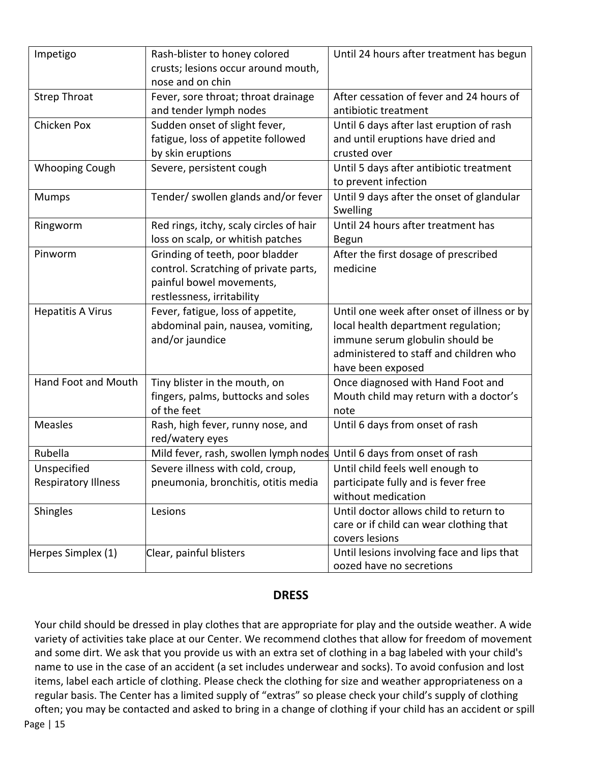| Impetigo                   | Rash-blister to honey colored           | Until 24 hours after treatment has begun    |
|----------------------------|-----------------------------------------|---------------------------------------------|
|                            | crusts; lesions occur around mouth,     |                                             |
|                            | nose and on chin                        |                                             |
| <b>Strep Throat</b>        | Fever, sore throat; throat drainage     | After cessation of fever and 24 hours of    |
|                            | and tender lymph nodes                  | antibiotic treatment                        |
| Chicken Pox                | Sudden onset of slight fever,           | Until 6 days after last eruption of rash    |
|                            | fatigue, loss of appetite followed      | and until eruptions have dried and          |
|                            | by skin eruptions                       | crusted over                                |
| <b>Whooping Cough</b>      | Severe, persistent cough                | Until 5 days after antibiotic treatment     |
|                            |                                         | to prevent infection                        |
| <b>Mumps</b>               | Tender/ swollen glands and/or fever     | Until 9 days after the onset of glandular   |
|                            |                                         | Swelling                                    |
| Ringworm                   | Red rings, itchy, scaly circles of hair | Until 24 hours after treatment has          |
|                            | loss on scalp, or whitish patches       | <b>Begun</b>                                |
| Pinworm                    | Grinding of teeth, poor bladder         | After the first dosage of prescribed        |
|                            | control. Scratching of private parts,   | medicine                                    |
|                            | painful bowel movements,                |                                             |
|                            | restlessness, irritability              |                                             |
| <b>Hepatitis A Virus</b>   | Fever, fatigue, loss of appetite,       | Until one week after onset of illness or by |
|                            | abdominal pain, nausea, vomiting,       | local health department regulation;         |
|                            | and/or jaundice                         | immune serum globulin should be             |
|                            |                                         | administered to staff and children who      |
|                            |                                         | have been exposed                           |
| Hand Foot and Mouth        | Tiny blister in the mouth, on           | Once diagnosed with Hand Foot and           |
|                            | fingers, palms, buttocks and soles      | Mouth child may return with a doctor's      |
|                            | of the feet                             | note                                        |
| Measles                    | Rash, high fever, runny nose, and       | Until 6 days from onset of rash             |
|                            | red/watery eyes                         |                                             |
| Rubella                    | Mild fever, rash, swollen lymph nodes   | Until 6 days from onset of rash             |
| Unspecified                | Severe illness with cold, croup,        | Until child feels well enough to            |
| <b>Respiratory Illness</b> | pneumonia, bronchitis, otitis media     | participate fully and is fever free         |
|                            |                                         | without medication                          |
| Shingles                   | Lesions                                 | Until doctor allows child to return to      |
|                            |                                         | care or if child can wear clothing that     |
|                            |                                         | covers lesions                              |
| Herpes Simplex (1)         | Clear, painful blisters                 | Until lesions involving face and lips that  |
|                            |                                         | oozed have no secretions                    |

## **DRESS**

Your child should be dressed in play clothes that are appropriate for play and the outside weather. A wide variety of activities take place at our Center. We recommend clothes that allow for freedom of movement and some dirt. We ask that you provide us with an extra set of clothing in a bag labeled with your child's name to use in the case of an accident (a set includes underwear and socks). To avoid confusion and lost items, label each article of clothing. Please check the clothing for size and weather appropriateness on a regular basis. The Center has a limited supply of "extras" so please check your child's supply of clothing often; you may be contacted and asked to bring in a change of clothing if your child has an accident or spill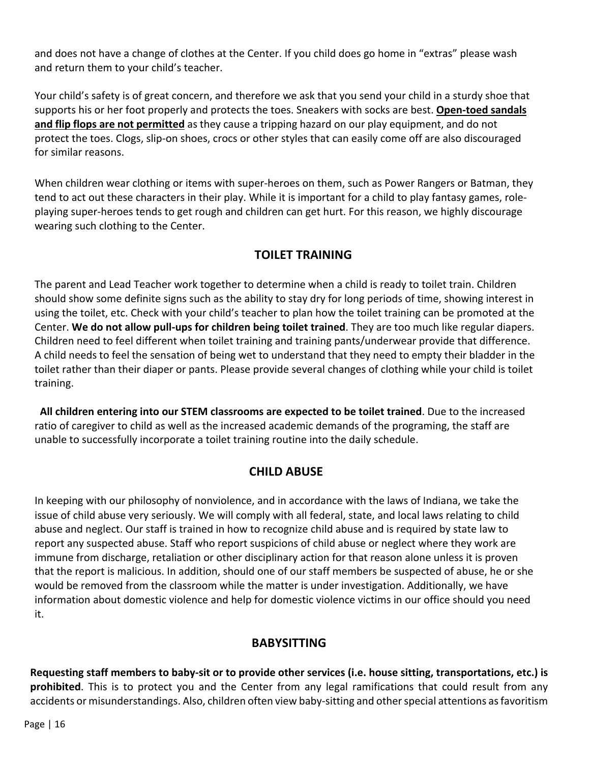and does not have a change of clothes at the Center. If you child does go home in "extras" please wash and return them to your child's teacher.

Your child's safety is of great concern, and therefore we ask that you send your child in a sturdy shoe that supports his or her foot properly and protects the toes. Sneakers with socks are best. **Open-toed sandals and flip flops are not permitted** as they cause a tripping hazard on our play equipment, and do not protect the toes. Clogs, slip-on shoes, crocs or other styles that can easily come off are also discouraged for similar reasons.

When children wear clothing or items with super-heroes on them, such as Power Rangers or Batman, they tend to act out these characters in their play. While it is important for a child to play fantasy games, roleplaying super-heroes tends to get rough and children can get hurt. For this reason, we highly discourage wearing such clothing to the Center.

## **TOILET TRAINING**

The parent and Lead Teacher work together to determine when a child is ready to toilet train. Children should show some definite signs such as the ability to stay dry for long periods of time, showing interest in using the toilet, etc. Check with your child's teacher to plan how the toilet training can be promoted at the Center. **We do not allow pull-ups for children being toilet trained**. They are too much like regular diapers. Children need to feel different when toilet training and training pants/underwear provide that difference. A child needs to feel the sensation of being wet to understand that they need to empty their bladder in the toilet rather than their diaper or pants. Please provide several changes of clothing while your child is toilet training.

**All children entering into our STEM classrooms are expected to be toilet trained**. Due to the increased ratio of caregiver to child as well as the increased academic demands of the programing, the staff are unable to successfully incorporate a toilet training routine into the daily schedule.

## **CHILD ABUSE**

In keeping with our philosophy of nonviolence, and in accordance with the laws of Indiana, we take the issue of child abuse very seriously. We will comply with all federal, state, and local laws relating to child abuse and neglect. Our staff is trained in how to recognize child abuse and is required by state law to report any suspected abuse. Staff who report suspicions of child abuse or neglect where they work are immune from discharge, retaliation or other disciplinary action for that reason alone unless it is proven that the report is malicious. In addition, should one of our staff members be suspected of abuse, he or she would be removed from the classroom while the matter is under investigation. Additionally, we have information about domestic violence and help for domestic violence victims in our office should you need it.

# **BABYSITTING**

**Requesting staff members to baby-sit or to provide other services (i.e. house sitting, transportations, etc.) is prohibited**. This is to protect you and the Center from any legal ramifications that could result from any accidents or misunderstandings. Also, children often view baby-sitting and other special attentions as favoritism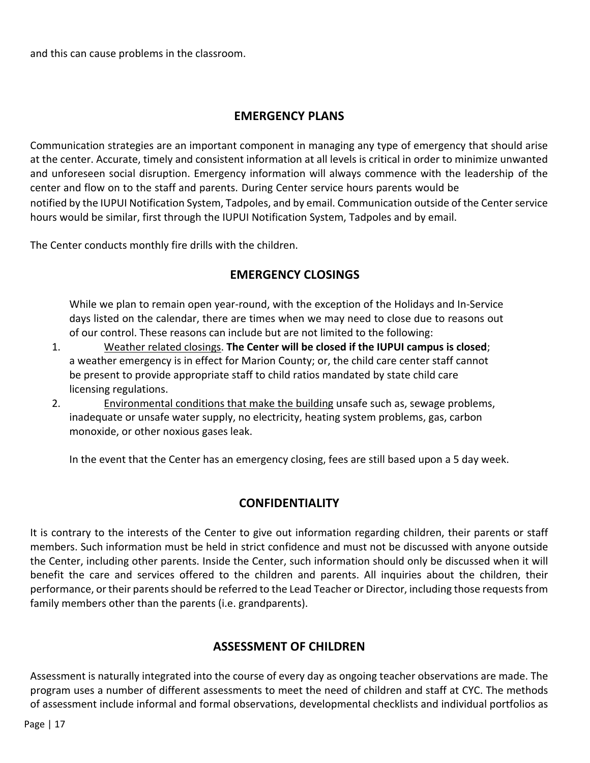## **EMERGENCY PLANS**

Communication strategies are an important component in managing any type of emergency that should arise at the center. Accurate, timely and consistent information at all levels is critical in order to minimize unwanted and unforeseen social disruption. Emergency information will always commence with the leadership of the center and flow on to the staff and parents. During Center service hours parents would be notified by the IUPUI Notification System, Tadpoles, and by email. Communication outside of the Center service hours would be similar, first through the IUPUI Notification System, Tadpoles and by email.

The Center conducts monthly fire drills with the children.

## **EMERGENCY CLOSINGS**

While we plan to remain open year-round, with the exception of the Holidays and In-Service days listed on the calendar, there are times when we may need to close due to reasons out of our control. These reasons can include but are not limited to the following:

- 1. Weather related closings. **The Center will be closed if the IUPUI campus is closed**; a weather emergency is in effect for Marion County; or, the child care center staff cannot be present to provide appropriate staff to child ratios mandated by state child care licensing regulations.
- 2. Environmental conditions that make the building unsafe such as, sewage problems, inadequate or unsafe water supply, no electricity, heating system problems, gas, carbon monoxide, or other noxious gases leak.

In the event that the Center has an emergency closing, fees are still based upon a 5 day week.

## **CONFIDENTIALITY**

It is contrary to the interests of the Center to give out information regarding children, their parents or staff members. Such information must be held in strict confidence and must not be discussed with anyone outside the Center, including other parents. Inside the Center, such information should only be discussed when it will benefit the care and services offered to the children and parents. All inquiries about the children, their performance, or their parents should be referred to the Lead Teacher or Director, including those requests from family members other than the parents (i.e. grandparents).

## **ASSESSMENT OF CHILDREN**

Assessment is naturally integrated into the course of every day as ongoing teacher observations are made. The program uses a number of different assessments to meet the need of children and staff at CYC. The methods of assessment include informal and formal observations, developmental checklists and individual portfolios as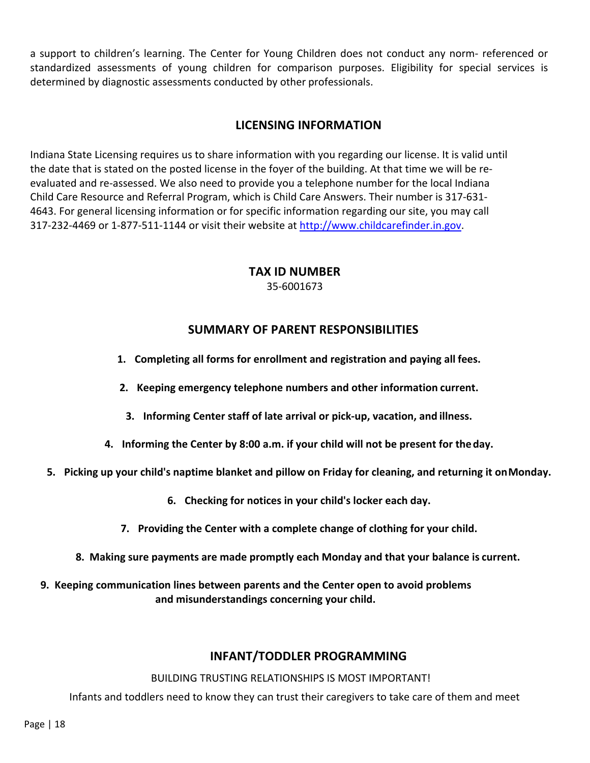a support to children's learning. The Center for Young Children does not conduct any norm- referenced or standardized assessments of young children for comparison purposes. Eligibility for special services is determined by diagnostic assessments conducted by other professionals.

## **LICENSING INFORMATION**

Indiana State Licensing requires us to share information with you regarding our license. It is valid until the date that is stated on the posted license in the foyer of the building. At that time we will be reevaluated and re-assessed. We also need to provide you a telephone number for the local Indiana Child Care Resource and Referral Program, which is Child Care Answers. Their number is 317-631- 4643. For general licensing information or for specific information regarding our site, you may call 317-232-4469 or 1-877-511-1144 or visit their website at http://www.childcarefinder.in.gov.

#### **TAX ID NUMBER** 35-6001673

## **SUMMARY OF PARENT RESPONSIBILITIES**

- **1. Completing all forms for enrollment and registration and paying all fees.**
- **2. Keeping emergency telephone numbers and other information current.**
- **3. Informing Center staff of late arrival or pick-up, vacation, and illness.**
- **4. Informing the Center by 8:00 a.m. if your child will not be present for theday.**
- **5. Picking up your child's naptime blanket and pillow on Friday for cleaning, and returning it onMonday.**
	- **6. Checking for notices in your child's locker each day.**
	- **7. Providing the Center with a complete change of clothing for your child.**
	- **8. Making sure payments are made promptly each Monday and that your balance is current.**
- **9. Keeping communication lines between parents and the Center open to avoid problems and misunderstandings concerning your child.**

# **INFANT/TODDLER PROGRAMMING**

BUILDING TRUSTING RELATIONSHIPS IS MOST IMPORTANT!

Infants and toddlers need to know they can trust their caregivers to take care of them and meet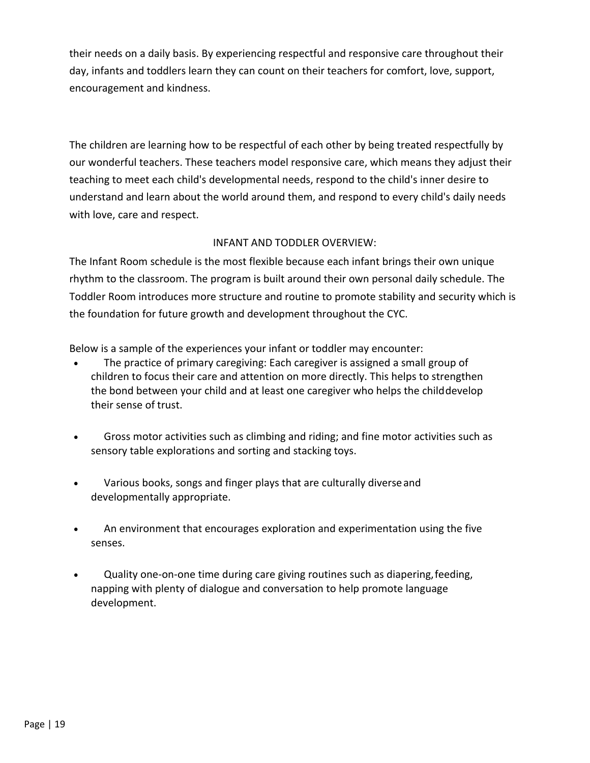their needs on a daily basis. By experiencing respectful and responsive care throughout their day, infants and toddlers learn they can count on their teachers for comfort, love, support, encouragement and kindness.

The children are learning how to be respectful of each other by being treated respectfully by our wonderful teachers. These teachers model responsive care, which means they adjust their teaching to meet each child's developmental needs, respond to the child's inner desire to understand and learn about the world around them, and respond to every child's daily needs with love, care and respect.

#### INFANT AND TODDLER OVERVIEW:

The Infant Room schedule is the most flexible because each infant brings their own unique rhythm to the classroom. The program is built around their own personal daily schedule. The Toddler Room introduces more structure and routine to promote stability and security which is the foundation for future growth and development throughout the CYC.

Below is a sample of the experiences your infant or toddler may encounter:

- The practice of primary caregiving: Each caregiver is assigned a small group of children to focus their care and attention on more directly. This helps to strengthen the bond between your child and at least one caregiver who helps the childdevelop their sense of trust.
- Gross motor activities such as climbing and riding; and fine motor activities such as sensory table explorations and sorting and stacking toys.
- Various books, songs and finger plays that are culturally diverseand developmentally appropriate.
- An environment that encourages exploration and experimentation using the five senses.
- Quality one-on-one time during care giving routines such as diapering,feeding, napping with plenty of dialogue and conversation to help promote language development.